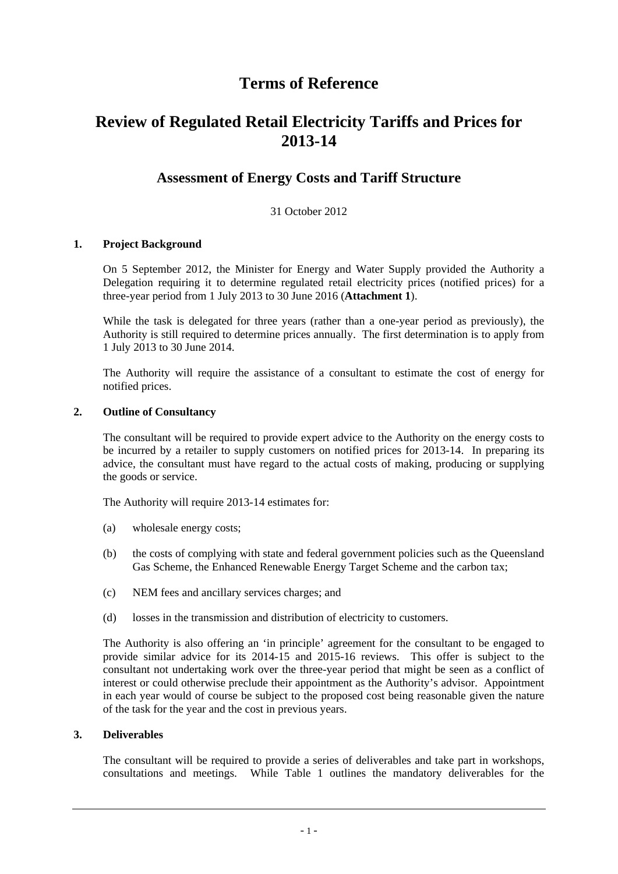# **Terms of Reference**

# **Review of Regulated Retail Electricity Tariffs and Prices for 2013-14**

# **Assessment of Energy Costs and Tariff Structure**

# 31 October 2012

# **1. Project Background**

On 5 September 2012, the Minister for Energy and Water Supply provided the Authority a Delegation requiring it to determine regulated retail electricity prices (notified prices) for a three-year period from 1 July 2013 to 30 June 2016 (**Attachment 1**).

While the task is delegated for three years (rather than a one-year period as previously), the Authority is still required to determine prices annually. The first determination is to apply from 1 July 2013 to 30 June 2014.

The Authority will require the assistance of a consultant to estimate the cost of energy for notified prices.

#### **2. Outline of Consultancy**

The consultant will be required to provide expert advice to the Authority on the energy costs to be incurred by a retailer to supply customers on notified prices for 2013-14. In preparing its advice, the consultant must have regard to the actual costs of making, producing or supplying the goods or service.

The Authority will require 2013-14 estimates for:

- (a) wholesale energy costs;
- (b) the costs of complying with state and federal government policies such as the Queensland Gas Scheme, the Enhanced Renewable Energy Target Scheme and the carbon tax;
- (c) NEM fees and ancillary services charges; and
- (d) losses in the transmission and distribution of electricity to customers.

The Authority is also offering an 'in principle' agreement for the consultant to be engaged to provide similar advice for its 2014-15 and 2015-16 reviews. This offer is subject to the consultant not undertaking work over the three-year period that might be seen as a conflict of interest or could otherwise preclude their appointment as the Authority's advisor. Appointment in each year would of course be subject to the proposed cost being reasonable given the nature of the task for the year and the cost in previous years.

#### **3. Deliverables**

The consultant will be required to provide a series of deliverables and take part in workshops, consultations and meetings. While Table 1 outlines the mandatory deliverables for the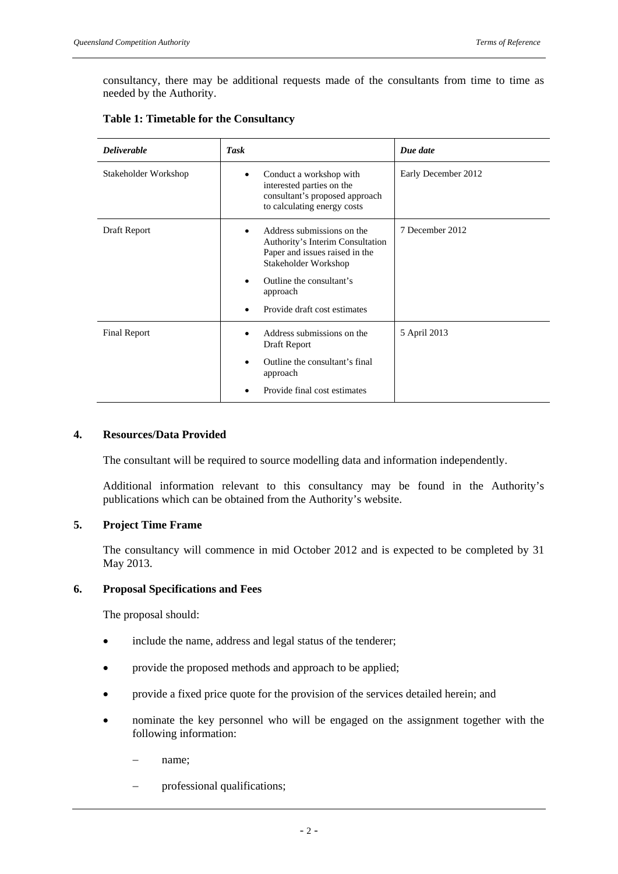consultancy, there may be additional requests made of the consultants from time to time as needed by the Authority.

| <b>Deliverable</b>   | <b>Task</b>                                                                                                                                                                                      | Due date            |
|----------------------|--------------------------------------------------------------------------------------------------------------------------------------------------------------------------------------------------|---------------------|
| Stakeholder Workshop | Conduct a workshop with<br>interested parties on the<br>consultant's proposed approach<br>to calculating energy costs                                                                            | Early December 2012 |
| Draft Report         | Address submissions on the<br>Authority's Interim Consultation<br>Paper and issues raised in the<br>Stakeholder Workshop<br>Outline the consultant's<br>approach<br>Provide draft cost estimates | 7 December 2012     |
| <b>Final Report</b>  | Address submissions on the<br>Draft Report<br>Outline the consultant's final<br>$\bullet$<br>approach<br>Provide final cost estimates                                                            | 5 April 2013        |

# **Table 1: Timetable for the Consultancy**

# **4. Resources/Data Provided**

The consultant will be required to source modelling data and information independently.

Additional information relevant to this consultancy may be found in the Authority's publications which can be obtained from the Authority's website.

#### **5. Project Time Frame**

The consultancy will commence in mid October 2012 and is expected to be completed by 31 May 2013.

#### **6. Proposal Specifications and Fees**

The proposal should:

- include the name, address and legal status of the tenderer;
- provide the proposed methods and approach to be applied;
- provide a fixed price quote for the provision of the services detailed herein; and
- nominate the key personnel who will be engaged on the assignment together with the following information:
	- name;
	- professional qualifications;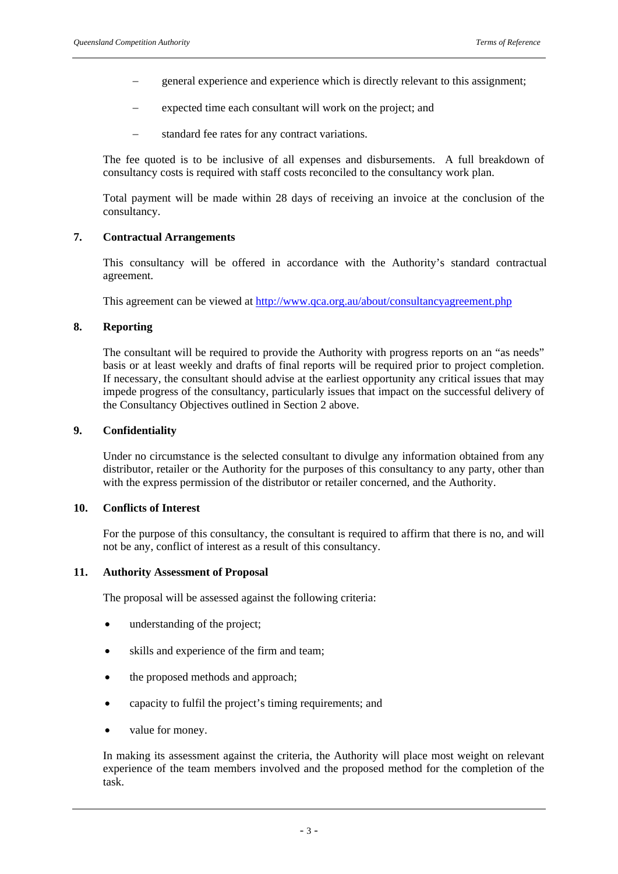- general experience and experience which is directly relevant to this assignment;
- expected time each consultant will work on the project; and
- standard fee rates for any contract variations.

The fee quoted is to be inclusive of all expenses and disbursements. A full breakdown of consultancy costs is required with staff costs reconciled to the consultancy work plan.

Total payment will be made within 28 days of receiving an invoice at the conclusion of the consultancy.

#### **7. Contractual Arrangements**

This consultancy will be offered in accordance with the Authority's standard contractual agreement.

This agreement can be viewed at http://www.qca.org.au/about/consultancyagreement.php

# **8. Reporting**

The consultant will be required to provide the Authority with progress reports on an "as needs" basis or at least weekly and drafts of final reports will be required prior to project completion. If necessary, the consultant should advise at the earliest opportunity any critical issues that may impede progress of the consultancy, particularly issues that impact on the successful delivery of the Consultancy Objectives outlined in Section 2 above.

# **9. Confidentiality**

Under no circumstance is the selected consultant to divulge any information obtained from any distributor, retailer or the Authority for the purposes of this consultancy to any party, other than with the express permission of the distributor or retailer concerned, and the Authority.

#### **10. Conflicts of Interest**

For the purpose of this consultancy, the consultant is required to affirm that there is no, and will not be any, conflict of interest as a result of this consultancy.

#### **11. Authority Assessment of Proposal**

The proposal will be assessed against the following criteria:

- understanding of the project;
- skills and experience of the firm and team;
- the proposed methods and approach;
- capacity to fulfil the project's timing requirements; and
- value for money.

In making its assessment against the criteria, the Authority will place most weight on relevant experience of the team members involved and the proposed method for the completion of the task.